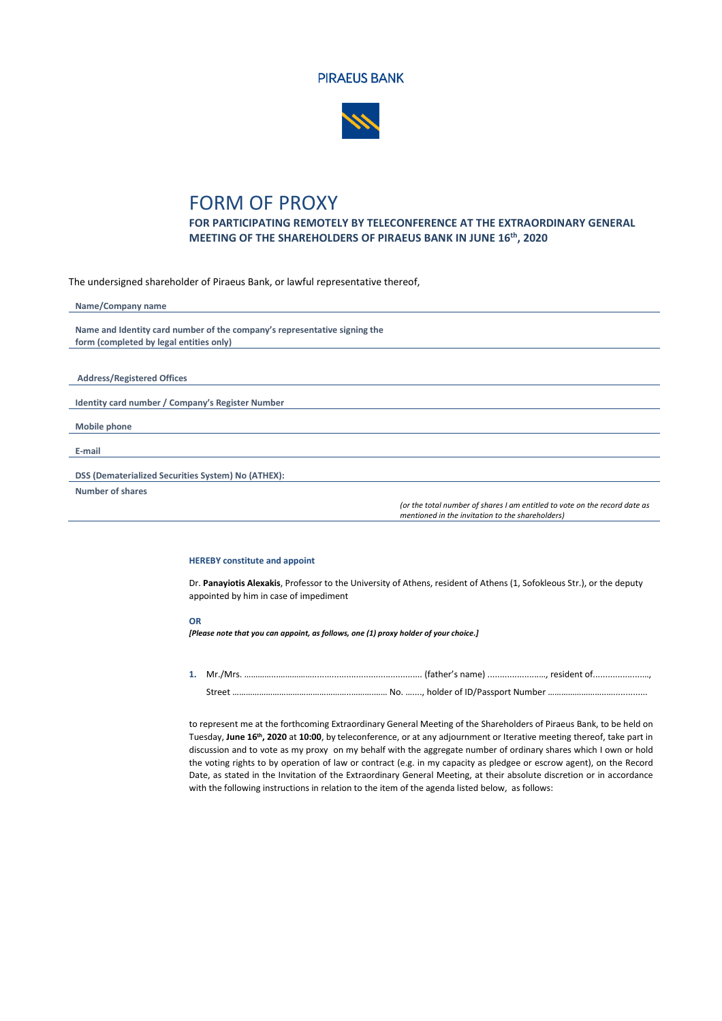



## FORM OF PROXY

**FOR PARTICIPATING REMOTELY BY TELECONFERENCE AT THE EXTRAORDINARY GENERAL MEETING OF THE SHAREHOLDERS OF PIRAEUS BANK IN JUNE 16th, 2020**

The undersigned shareholder of Piraeus Bank, or lawful representative thereof,

| Name/Company name                                                         |                                                                            |
|---------------------------------------------------------------------------|----------------------------------------------------------------------------|
| Name and Identity card number of the company's representative signing the |                                                                            |
| form (completed by legal entities only)                                   |                                                                            |
|                                                                           |                                                                            |
|                                                                           |                                                                            |
| <b>Address/Registered Offices</b>                                         |                                                                            |
| Identity card number / Company's Register Number                          |                                                                            |
| <b>Mobile phone</b>                                                       |                                                                            |
| E-mail                                                                    |                                                                            |
|                                                                           |                                                                            |
| DSS (Dematerialized Securities System) No (ATHEX):                        |                                                                            |
| <b>Number of shares</b>                                                   |                                                                            |
|                                                                           | (or the total number of shares I am entitled to vote on the record date as |

*(or the total number of shares I am entitled to vote on the record date as mentioned in the invitation to the shareholders)*

## **HEREBY constitute and appoint**

Dr. **Panayiotis Alexakis**, Professor to the University of Athens, resident of Athens (1, Sofokleous Str.), or the deputy appointed by him in case of impediment

## **OR**

*[Please note that you can appoint, as follows, one (1) proxy holder of your choice.]*

**1.** Mr./Mrs. …………...……………............................................. (father's name) .....................…, resident of....................…, Street ……………………………………………..……….…… No. …...., holder of ID/Passport Number ……………………..…..............

to represent me at the forthcoming Extraordinary General Meeting of the Shareholders of Piraeus Bank, to be held on Tuesday, **June 16th, 2020** at **10:00**, by teleconference, or at any adjournment or Iterative meeting thereof, take part in discussion and to vote as my proxy on my behalf with the aggregate number of ordinary shares which I own or hold the voting rights to by operation of law or contract (e.g. in my capacity as pledgee or escrow agent), on the Record Date, as stated in the Invitation of the Extraordinary General Meeting, at their absolute discretion or in accordance with the following instructions in relation to the item of the agenda listed below, as follows: